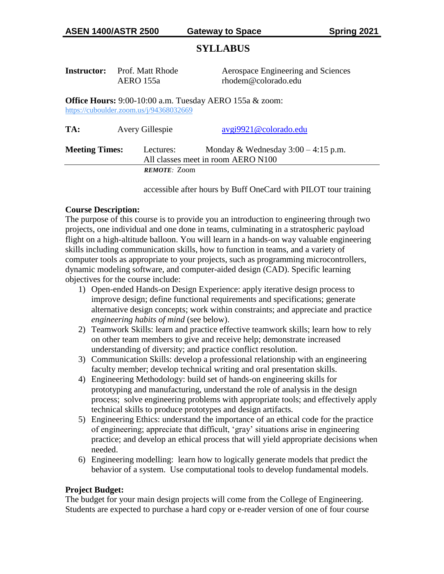# **SYLLABUS**

| Instructor: | Prof. Matt Rhode |
|-------------|------------------|
|             | AERO 155a        |

Aerospace Engineering and Sciences rhodem@colorado.edu

**Office Hours:** 9:00-10:00 a.m. Tuesday AERO 155a & zoom: <https://cuboulder.zoom.us/j/94368032669>

| TA:                   | Avery Gillespie     | avgi9921@colorado.edu                                                       |
|-----------------------|---------------------|-----------------------------------------------------------------------------|
| <b>Meeting Times:</b> | Lectures:           | Monday & Wednesday $3:00 - 4:15$ p.m.<br>All classes meet in room AERO N100 |
|                       | <b>REMOTE:</b> Zoom |                                                                             |

accessible after hours by Buff OneCard with PILOT tour training

## **Course Description:**

The purpose of this course is to provide you an introduction to engineering through two projects, one individual and one done in teams, culminating in a stratospheric payload flight on a high-altitude balloon. You will learn in a hands-on way valuable engineering skills including communication skills, how to function in teams, and a variety of computer tools as appropriate to your projects, such as programming microcontrollers, dynamic modeling software, and computer-aided design (CAD). Specific learning objectives for the course include:

- 1) Open-ended Hands-on Design Experience: apply iterative design process to improve design; define functional requirements and specifications; generate alternative design concepts; work within constraints; and appreciate and practice *engineering habits of mind* (see below).
- 2) Teamwork Skills: learn and practice effective teamwork skills; learn how to rely on other team members to give and receive help; demonstrate increased understanding of diversity; and practice conflict resolution.
- 3) Communication Skills: develop a professional relationship with an engineering faculty member; develop technical writing and oral presentation skills.
- 4) Engineering Methodology: build set of hands-on engineering skills for prototyping and manufacturing, understand the role of analysis in the design process; solve engineering problems with appropriate tools; and effectively apply technical skills to produce prototypes and design artifacts.
- 5) Engineering Ethics: understand the importance of an ethical code for the practice of engineering; appreciate that difficult, 'gray' situations arise in engineering practice; and develop an ethical process that will yield appropriate decisions when needed.
- 6) Engineering modelling: learn how to logically generate models that predict the behavior of a system. Use computational tools to develop fundamental models.

### **Project Budget:**

The budget for your main design projects will come from the College of Engineering. Students are expected to purchase a hard copy or e-reader version of one of four course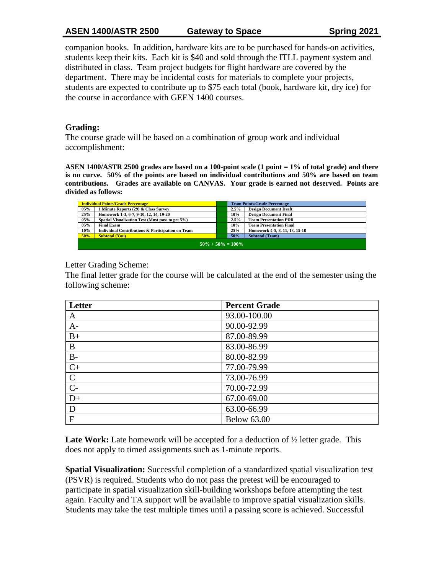# **ASEN 1400/ASTR 2500 Gateway to Space Spring 2021**

companion books. In addition, hardware kits are to be purchased for hands-on activities, students keep their kits. Each kit is \$40 and sold through the ITLL payment system and distributed in class. Team project budgets for flight hardware are covered by the department. There may be incidental costs for materials to complete your projects, students are expected to contribute up to \$75 each total (book, hardware kit, dry ice) for the course in accordance with GEEN 1400 courses.

## **Grading:**

The course grade will be based on a combination of group work and individual accomplishment:

**ASEN 1400/ASTR 2500 grades are based on a 100-point scale (1 point = 1% of total grade) and there is no curve. 50% of the points are based on individual contributions and 50% are based on team contributions. Grades are available on CANVAS. Your grade is earned not deserved. Points are divided as follows:** 

|                       | <b>Individual Points/Grade Percentage</b>                   |  | <b>Team Points/Grade Percentage</b> |                                |
|-----------------------|-------------------------------------------------------------|--|-------------------------------------|--------------------------------|
| 05%                   | 1 Minute Reports (29) & Class Survey                        |  | 2.5%                                | <b>Design Document Draft</b>   |
| 25%                   | Homework 1-3, 6-7, 9-10, 12, 14, 19-20                      |  | 10%                                 | <b>Design Document Final</b>   |
| 05%                   | Spatial Visualization Test (Must pass to get 5%)            |  | 2.5%                                | <b>Team Presentation PDR</b>   |
| 05%                   | <b>Final Exam</b>                                           |  | 10%                                 | <b>Team Presentation Final</b> |
| 10%                   | <b>Individual Contributions &amp; Participation on Team</b> |  | 25%                                 | Homework 4-5, 8, 11, 13, 15-18 |
| 50%                   | <b>Subtotal (You)</b>                                       |  | 50%                                 | <b>Subtotal (Team)</b>         |
| $50\% + 50\% = 100\%$ |                                                             |  |                                     |                                |

## Letter Grading Scheme:

The final letter grade for the course will be calculated at the end of the semester using the following scheme:

| Letter         | <b>Percent Grade</b> |
|----------------|----------------------|
| A              | 93.00-100.00         |
| $A-$           | 90.00-92.99          |
| $B+$           | 87.00-89.99          |
| B              | 83.00-86.99          |
| $B-$           | 80.00-82.99          |
| $C+$           | 77.00-79.99          |
| $\mathsf{C}$   | 73.00-76.99          |
| $\overline{C}$ | 70.00-72.99          |
| $D+$           | 67.00-69.00          |
| D              | 63.00-66.99          |
| $\mathbf{F}$   | <b>Below 63.00</b>   |

Late Work: Late homework will be accepted for a deduction of  $\frac{1}{2}$  letter grade. This does not apply to timed assignments such as 1-minute reports.

**Spatial Visualization:** Successful completion of a standardized spatial visualization test (PSVR) is required. Students who do not pass the pretest will be encouraged to participate in spatial visualization skill-building workshops before attempting the test again. Faculty and TA support will be available to improve spatial visualization skills. Students may take the test multiple times until a passing score is achieved. Successful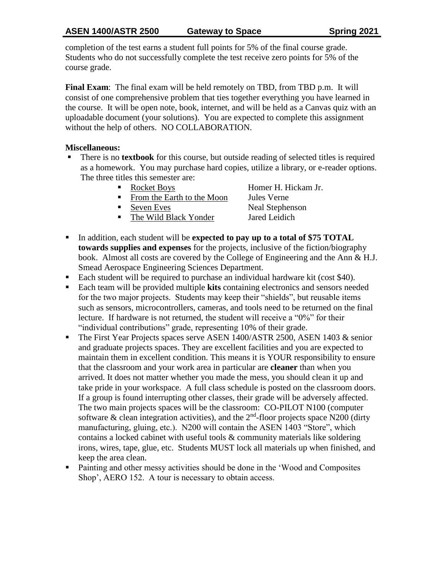completion of the test earns a student full points for 5% of the final course grade. Students who do not successfully complete the test receive zero points for 5% of the course grade.

**Final Exam**: The final exam will be held remotely on TBD, from TBD p.m. It will consist of one comprehensive problem that ties together everything you have learned in the course. It will be open note, book, internet, and will be held as a Canvas quiz with an uploadable document (your solutions). You are expected to complete this assignment without the help of others. NO COLLABORATION.

## **Miscellaneous:**

- There is no **textbook** for this course, but outside reading of selected titles is required as a homework. You may purchase hard copies, utilize a library, or e-reader options. The three titles this semester are:
	-
	- From the Earth to the Moon Jules Verne
	- Seven Eves Neal Stephenson
	- The Wild Black Yonder Jared Leidich

Rocket Boys Homer H. Hickam Jr.

- In addition, each student will be **expected to pay up to a total of \$75 TOTAL towards supplies and expenses** for the projects, inclusive of the fiction/biography book. Almost all costs are covered by the College of Engineering and the Ann & H.J. Smead Aerospace Engineering Sciences Department.
- Each student will be required to purchase an individual hardware kit (cost \$40).
- Each team will be provided multiple **kits** containing electronics and sensors needed for the two major projects. Students may keep their "shields", but reusable items such as sensors, microcontrollers, cameras, and tools need to be returned on the final lecture. If hardware is not returned, the student will receive a "0%" for their "individual contributions" grade, representing 10% of their grade.
- The First Year Projects spaces serve ASEN 1400/ASTR 2500, ASEN 1403 & senior and graduate projects spaces. They are excellent facilities and you are expected to maintain them in excellent condition. This means it is YOUR responsibility to ensure that the classroom and your work area in particular are **cleaner** than when you arrived. It does not matter whether you made the mess, you should clean it up and take pride in your workspace. A full class schedule is posted on the classroom doors. If a group is found interrupting other classes, their grade will be adversely affected. The two main projects spaces will be the classroom: CO-PILOT N100 (computer software & clean integration activities), and the  $2<sup>nd</sup>$ -floor projects space N200 (dirty manufacturing, gluing, etc.). N200 will contain the ASEN 1403 "Store", which contains a locked cabinet with useful tools & community materials like soldering irons, wires, tape, glue, etc. Students MUST lock all materials up when finished, and keep the area clean.
- Painting and other messy activities should be done in the 'Wood and Composites Shop', AERO 152. A tour is necessary to obtain access.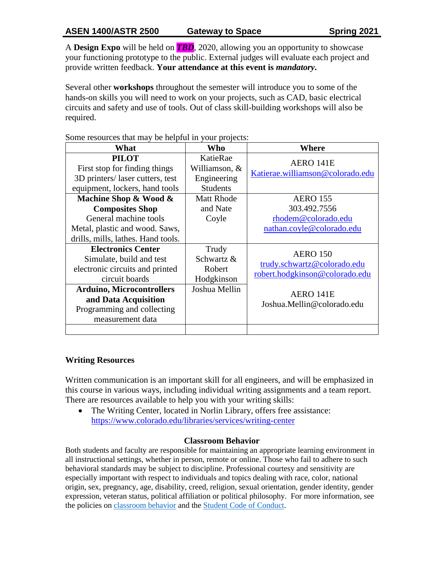A **Design Expo** will be held on *TBD*, 2020, allowing you an opportunity to showcase your functioning prototype to the public. External judges will evaluate each project and provide written feedback. **Your attendance at this event is** *mandatory***.**

Several other **workshops** throughout the semester will introduce you to some of the hands-on skills you will need to work on your projects, such as CAD, basic electrical circuits and safety and use of tools. Out of class skill-building workshops will also be required.

Some resources that may be helpful in your projects:

| What                                                                                                                                                                                                                     | Who                                                          | Where                                                                                                                       |
|--------------------------------------------------------------------------------------------------------------------------------------------------------------------------------------------------------------------------|--------------------------------------------------------------|-----------------------------------------------------------------------------------------------------------------------------|
| <b>PILOT</b><br>First stop for finding things                                                                                                                                                                            | KatieRae<br>Williamson, &                                    | AERO 141E<br>Katierae.williamson@colorado.edu                                                                               |
| 3D printers/ laser cutters, test<br>equipment, lockers, hand tools                                                                                                                                                       | Engineering<br><b>Students</b>                               |                                                                                                                             |
| Machine Shop & Wood &<br><b>Composites Shop</b><br>General machine tools<br>Metal, plastic and wood. Saws,<br>drills, mills, lathes. Hand tools.                                                                         | <b>Matt Rhode</b><br>and Nate<br>Coyle                       | <b>AERO</b> 155<br>303.492.7556<br>rhodem@colorado.edu<br>nathan.coyle@colorado.edu                                         |
| <b>Electronics Center</b><br>Simulate, build and test<br>electronic circuits and printed<br>circuit boards<br><b>Arduino, Microcontrollers</b><br>and Data Acquisition<br>Programming and collecting<br>measurement data | Trudy<br>Schwartz &<br>Robert<br>Hodgkinson<br>Joshua Mellin | <b>AERO 150</b><br>trudy.schwartz@colorado.edu<br>robert.hodgkinson@colorado.edu<br>AERO 141E<br>Joshua.Mellin@colorado.edu |
|                                                                                                                                                                                                                          |                                                              |                                                                                                                             |

### **Writing Resources**

Written communication is an important skill for all engineers, and will be emphasized in this course in various ways, including individual writing assignments and a team report. There are resources available to help you with your writing skills:

• The Writing Center, located in Norlin Library, offers free assistance: <https://www.colorado.edu/libraries/services/writing-center>

### **Classroom Behavior**

Both students and faculty are responsible for maintaining an appropriate learning environment in all instructional settings, whether in person, remote or online. Those who fail to adhere to such behavioral standards may be subject to discipline. Professional courtesy and sensitivity are especially important with respect to individuals and topics dealing with race, color, national origin, sex, pregnancy, age, disability, creed, religion, sexual orientation, gender identity, gender expression, veteran status, political affiliation or political philosophy. For more information, see the policies on [classroom behavior](http://www.colorado.edu/policies/student-classroom-and-course-related-behavior) and the [Student Code of Conduct.](https://www.colorado.edu/sccr/sites/default/files/attached-files/2019-2020_student_code_of_conduct_0.pdf)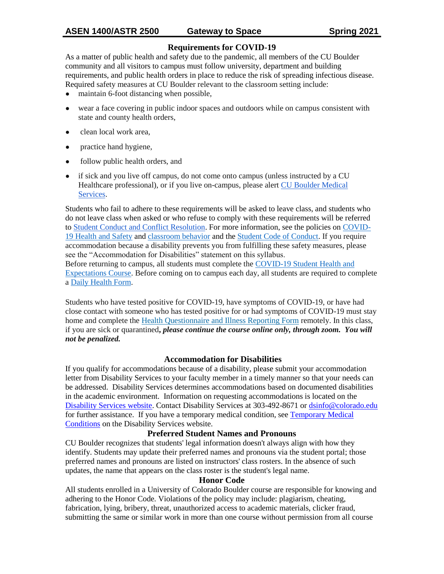## **Requirements for COVID-19**

As a matter of public health and safety due to the pandemic, all members of the CU Boulder community and all visitors to campus must follow university, department and building requirements, and public health orders in place to reduce the risk of spreading infectious disease. Required safety measures at CU Boulder relevant to the classroom setting include:

- maintain 6-foot distancing when possible,
- wear a face covering in public indoor spaces and outdoors while on campus consistent with state and county health orders,
- clean local work area,
- practice hand hygiene,
- follow public health orders, and
- if sick and you live off campus, do not come onto campus (unless instructed by a CU Healthcare professional), or if you live on-campus, please alert [CU Boulder Medical](https://www.colorado.edu/healthcenter/coronavirus-updates/symptoms-and-what-do-if-you-feel-sick)  [Services.](https://www.colorado.edu/healthcenter/coronavirus-updates/symptoms-and-what-do-if-you-feel-sick)

Students who fail to adhere to these requirements will be asked to leave class, and students who do not leave class when asked or who refuse to comply with these requirements will be referred to [Student Conduct and Conflict Resolution.](https://www.colorado.edu/sccr/) For more information, see the policies on [COVID-](https://www.colorado.edu/policies/covid-19-health-and-safety-policy)[19 Health and Safety](https://www.colorado.edu/policies/covid-19-health-and-safety-policy) and [classroom behavior](http://www.colorado.edu/policies/student-classroom-and-course-related-behavior) and the [Student Code of Conduct.](http://www.colorado.edu/osccr/) If you require accommodation because a disability prevents you from fulfilling these safety measures, please see the "Accommodation for Disabilities" statement on this syllabus.

Before returning to campus, all students must complete the [COVID-19 Student Health and](https://www.colorado.edu/protect-our-herd/how#anchor1)  [Expectations Course.](https://www.colorado.edu/protect-our-herd/how#anchor1) Before coming on to campus each day, all students are required to complete a [Daily Health Form.](https://www.colorado.edu/protect-our-herd/daily-health-form)

Students who have tested positive for COVID-19, have symptoms of COVID-19, or have had close contact with someone who has tested positive for or had symptoms of COVID-19 must stay home and complete the [Health Questionnaire and Illness Reporting Form](https://www.colorado.edu/protect-our-herd/daily-health-form) remotely. In this class, if you are sick or quarantined**,** *please continue the course online only, through zoom. You will not be penalized.*

### **Accommodation for Disabilities**

If you qualify for accommodations because of a disability, please submit your accommodation letter from Disability Services to your faculty member in a timely manner so that your needs can be addressed. Disability Services determines accommodations based on documented disabilities in the academic environment. Information on requesting accommodations is located on the [Disability Services website.](https://www.colorado.edu/disabilityservices/) Contact Disability Services at 303-492-8671 or [dsinfo@colorado.edu](mailto:dsinfo@colorado.edu) for further assistance. If you have a temporary medical condition, see [Temporary Medical](http://www.colorado.edu/disabilityservices/students/temporary-medical-conditions)  [Conditions](http://www.colorado.edu/disabilityservices/students/temporary-medical-conditions) on the Disability Services website.

### **Preferred Student Names and Pronouns**

CU Boulder recognizes that students' legal information doesn't always align with how they identify. Students may update their preferred names and pronouns via the student portal; those preferred names and pronouns are listed on instructors' class rosters. In the absence of such updates, the name that appears on the class roster is the student's legal name.

#### **Honor Code**

All students enrolled in a University of Colorado Boulder course are responsible for knowing and adhering to the Honor Code. Violations of the policy may include: plagiarism, cheating, fabrication, lying, bribery, threat, unauthorized access to academic materials, clicker fraud, submitting the same or similar work in more than one course without permission from all course